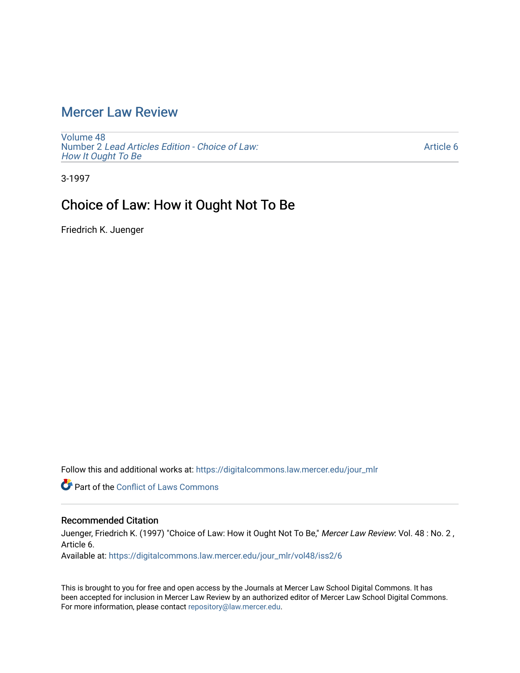# [Mercer Law Review](https://digitalcommons.law.mercer.edu/jour_mlr)

[Volume 48](https://digitalcommons.law.mercer.edu/jour_mlr/vol48) Number 2 [Lead Articles Edition - Choice of Law:](https://digitalcommons.law.mercer.edu/jour_mlr/vol48/iss2)  [How It Ought To Be](https://digitalcommons.law.mercer.edu/jour_mlr/vol48/iss2)

[Article 6](https://digitalcommons.law.mercer.edu/jour_mlr/vol48/iss2/6) 

3-1997

# Choice of Law: How it Ought Not To Be

Friedrich K. Juenger

Follow this and additional works at: [https://digitalcommons.law.mercer.edu/jour\\_mlr](https://digitalcommons.law.mercer.edu/jour_mlr?utm_source=digitalcommons.law.mercer.edu%2Fjour_mlr%2Fvol48%2Fiss2%2F6&utm_medium=PDF&utm_campaign=PDFCoverPages)

**Part of the Conflict of Laws Commons** 

# Recommended Citation

Juenger, Friedrich K. (1997) "Choice of Law: How it Ought Not To Be," Mercer Law Review: Vol. 48 : No. 2, Article 6.

Available at: [https://digitalcommons.law.mercer.edu/jour\\_mlr/vol48/iss2/6](https://digitalcommons.law.mercer.edu/jour_mlr/vol48/iss2/6?utm_source=digitalcommons.law.mercer.edu%2Fjour_mlr%2Fvol48%2Fiss2%2F6&utm_medium=PDF&utm_campaign=PDFCoverPages)

This is brought to you for free and open access by the Journals at Mercer Law School Digital Commons. It has been accepted for inclusion in Mercer Law Review by an authorized editor of Mercer Law School Digital Commons. For more information, please contact [repository@law.mercer.edu](mailto:repository@law.mercer.edu).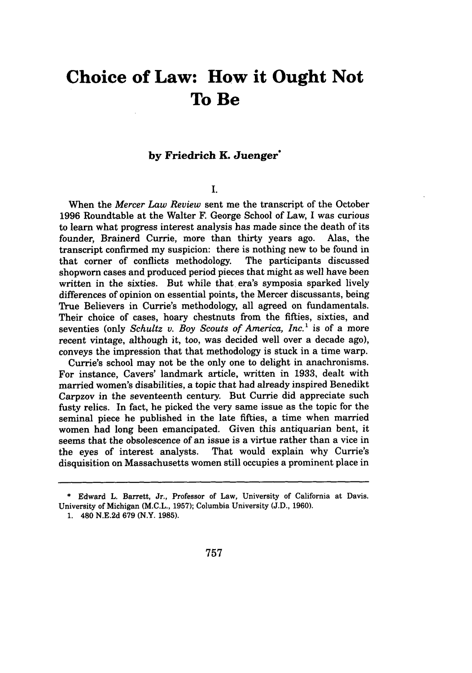# **Choice of Law: How it Ought Not To Be**

## **by Friedrich K. Juenger**

# **I.**

When the *Mercer Law Review* sent me the transcript of the October **1996** Roundtable at the Walter F. George School of Law, I was curious to learn what progress interest analysis has made since the death of its founder, Brainerd Currie, more than thirty years ago. Alas, the transcript confirmed my suspicion: there is nothing new to be found in that corner of conflicts methodology. The participants discussed that corner of conflicts methodology. shopworn cases and produced period pieces that might as well have been written in the sixties. But while that era's symposia sparked lively differences of opinion on essential points, the Mercer discussants, being True Believers in Currie's methodology, all agreed on fundamentals. Their choice of cases, hoary chestnuts from the fifties, sixties, and seventies (only *Schultz v. Boy Scouts of America, Inc.'* is of a more recent vintage, although it, too, was decided well over a decade ago), conveys the impression that that methodology is stuck in a time warp.

Currie's school may not be the only one to delight in anachronisms. For instance, Cavers' landmark article, written in **1933,** dealt with married women's disabilities, a topic that had already inspired Benedikt Carpzov in the seventeenth century. But Currie did appreciate such fusty relics. In fact, he picked the very same issue as the topic for the seminal piece he published in the late fifties, a time when married women had long been emancipated. Given this antiquarian bent, it seems that the obsolescence of an issue is a virtue rather than a vice in the eyes of interest analysts. That would explain why Currie's disquisition on Massachusetts women still occupies a prominent place in

<sup>\*</sup> Edward L. Barrett, Jr., Professor of Law, University of California at Davis. University of Michigan (M.C.L., 1957); Columbia University (J.D., 1960).

**<sup>1.</sup>** 480 N.E.2d 679 (N.Y. 1985).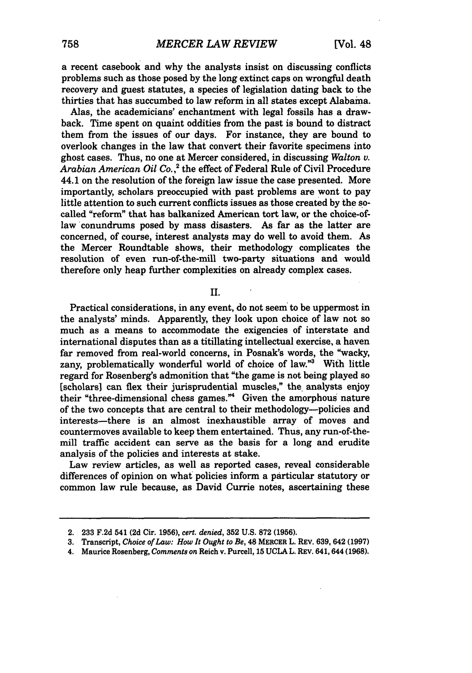a recent casebook and why the analysts insist on discussing conflicts problems such as those posed **by** the long extinct caps on wrongful death recovery and guest statutes, a species of legislation dating back to the thirties that has succumbed to law reform in all states except Alabama.

Alas, the academicians' enchantment with legal fossils has a drawback. Time spent on quaint oddities from the past is bound to distract them from the issues of our days. For instance, they are bound to overlook changes in the law that convert their favorite specimens into ghost cases. Thus, no one at Mercer considered, in discussing *Walton v. Arabian American Oil Co.* **,2** the effect of Federal Rule of Civil Procedure 44.1 on the resolution of the foreign law issue the case presented. More importantly, scholars preoccupied with past problems are wont to pay little attention to such current conflicts issues as those created **by** the socalled "reform" that has balkanized American tort law, or the choice-oflaw conundrums posed by mass disasters. As far as the latter are concerned, of course, interest analysts may do well to avoid them. As the Mercer Roundtable shows, their methodology complicates the resolution of even run-of-the-mill two-party situations and would therefore only heap further complexities on already complex cases.

**I.**

Practical considerations, in any event, do not seem to be uppermost in the analysts' minds. Apparently, they look upon choice of law not so much as a means to accommodate the exigencies of interstate and international disputes than as a titillating intellectual exercise, a haven far removed from real-world concerns, in Posnak's words, the "wacky, zany, problematically wonderful world of choice of law."<sup>3</sup> With little regard for Rosenberg's admonition that "the game is not being played so [scholars] can flex their jurisprudential muscles," the analysts enjoy their "three-dimensional chess games."4 Given the amorphous nature of the two concepts that are central to their methodology-policies and interests-there is an almost inexhaustible array of moves and countermoves available to keep them entertained. Thus, any run-of-themill traffic accident can serve as the basis for a long and erudite analysis of the policies and interests at stake.

Law review articles, as well as reported cases, reveal considerable differences of opinion on what policies inform a particular statutory or common law rule because, as David Currie notes, ascertaining these

<sup>2.</sup> **233** F.2d 541 **(2d** Cir. **1956),** *cert. denied,* **352 U.S. 872 (1956).**

**<sup>3.</sup>** Transcript, *Choice of Law: How It Ought to Be,* 48 MERCER L. REv. **639,** 642 **(1997)**

<sup>4.</sup> Maurice Rosenberg, *Comments on* Reich v. Purcell, **15** UCLA L. REv. 641,644 **(1968).**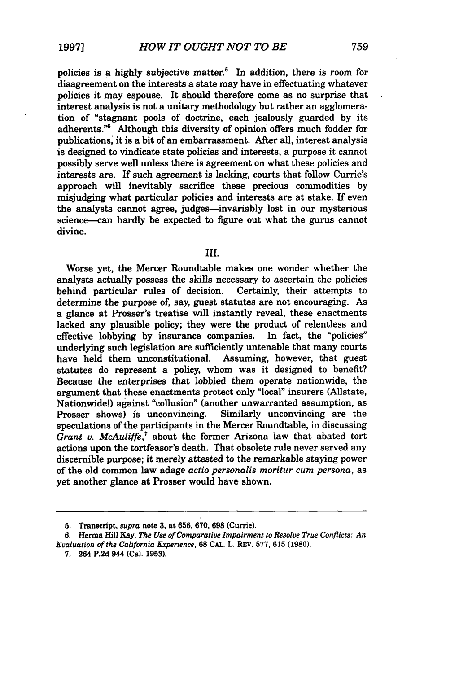policies is a highly subjective matter.<sup>5</sup> In addition, there is room for disagreement on the interests a state may have in effectuating whatever policies it may espouse. It should therefore come as no surprise that interest analysis is not a unitary methodology but rather an agglomeration of "stagnant pools of doctrine, each jealously guarded by its adherents."<sup>6</sup> Although this diversity of opinion offers much fodder for publications, it is a bit of an embarrassment. After all, interest analysis is designed to vindicate state policies and interests, a purpose it cannot possibly serve well unless there is agreement on what these policies and interests are. If such agreement is lacking, courts that follow Currie's approach will inevitably sacrifice these precious commodities by misjudging what particular policies and interests are at stake. If even the analysts cannot agree, judges--invariably lost in our mysterious science-can hardly be expected to figure out what the gurus cannot divine.

#### III.

Worse yet, the Mercer Roundtable makes one wonder whether the analysts actually possess the skills necessary to ascertain the policies behind particular rules of decision. Certainly, their attempts to determine the purpose of, say, guest statutes are not encouraging. As a glance at Prosser's treatise will instantly reveal, these enactments lacked any plausible policy; they were the product of relentless and effective lobbying by insurance companies. In fact, the "policies" effective lobbying by insurance companies. underlying such legislation are sufficiently untenable that many courts<br>have held them unconstitutional. Assuming, however, that guest have held them unconstitutional. statutes do represent a policy, whom was it designed to benefit? Because the enterprises that lobbied them operate nationwide, the argument that these enactments protect only "local" insurers (Allstate, Nationwide!) against "collusion" (another unwarranted assumption, as Prosser shows) is unconvincing. Similarly unconvincing are the speculations of the participants in the Mercer Roundtable, in discussing *Grant v. McAuliffe,'* about the former Arizona law that abated tort actions upon the tortfeasor's death. That obsolete rule never served any discernible purpose; it merely attested to the remarkable staying power of the old common law adage *actio personalis moritur cum persona,* as yet another glance at Prosser would have shown.

**<sup>5.</sup>** Transcript, *supra* note **3,** at **656, 670, 698** (Currie).

**<sup>6.</sup>** Herma Hill Kay, *The Use of Comparative Impairment to Resolve True Conflicts: An Evaluation of the California Experience,* **68 CAL.** L. REv. 577, 615 (1980).

<sup>7. 264</sup> P.2d 944 (Cal. **1953).**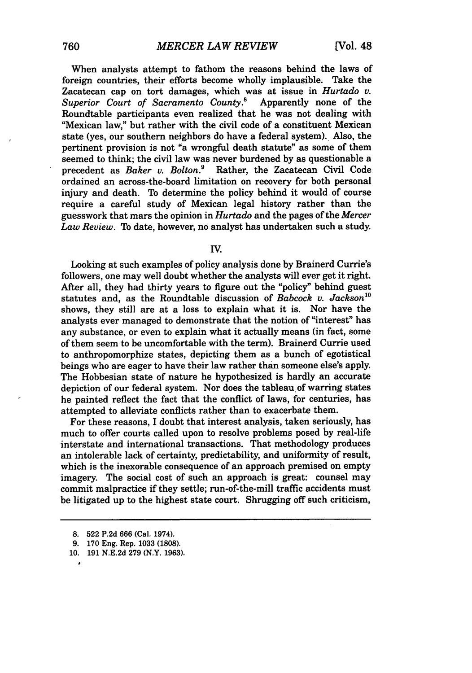When analysts attempt to fathom the reasons behind the laws of foreign countries, their efforts become wholly implausible. Take the Zacatecan cap on tort damages, which was at issue in *Hurtado v. Superior Court of Sacramento County.*<sup>8</sup> Roundtable participants even realized that he was not dealing with "Mexican law," but rather with the civil code of a constituent Mexican state (yes, our southern neighbors do have a federal system). Also, the pertinent provision is not "a wrongful death statute" as some of them seemed to think; the civil law was never burdened by as questionable a precedent as *Baker v. Bolton.9* Rather, the Zacatecan Civil Code ordained an across-the-board limitation on recovery for both personal injury and death. To determine the policy behind it would of course require a careful study of Mexican legal history rather than the guesswork that mars the opinion in *Hurtado* and the pages of the *Mercer Law Review.* To date, however, no analyst has undertaken such a study.

#### **IV.**

Looking at such examples of policy analysis done by Brainerd Currie's followers, one may well doubt whether the analysts will ever get it right. After all, they had thirty years to figure out the "policy" behind guest statutes and, as the Roundtable discussion of *Babcock v. Jackson*<sup>10</sup> shows, they still are at a loss to explain what it is. Nor have the analysts ever managed to demonstrate that the notion of "interest" has any substance, or even to explain what it actually means (in fact, some of them seem to be uncomfortable with the term). Brainerd Currie used to anthropomorphize states, depicting them as a bunch of egotistical beings who are eager to have their law rather than someone else's apply. The Hobbesian state of nature he hypothesized is hardly an accurate depiction of our federal system. Nor does the tableau of warring states he painted reflect the fact that the conflict of laws, for centuries, has attempted to alleviate conflicts rather than to exacerbate them.

For these reasons, I doubt that interest analysis, taken seriously, has much to offer courts called upon to resolve problems posed by real-life interstate and international transactions. That methodology produces an intolerable lack of certainty, predictability, and uniformity of result, which is the inexorable consequence of an approach premised on empty imagery. The social cost of such an approach is great: counsel may commit malpractice if they settle; run-of-the-mill traffic accidents must be litigated up to the highest state court. Shrugging off such criticism,

**0**

<sup>8. 522</sup> P.2d 666 (Cal. 1974).

<sup>9. 170</sup> Eng. Rep. 1033 (1808).

<sup>10. 191</sup> N.E.2d 279 (N.Y. 1963).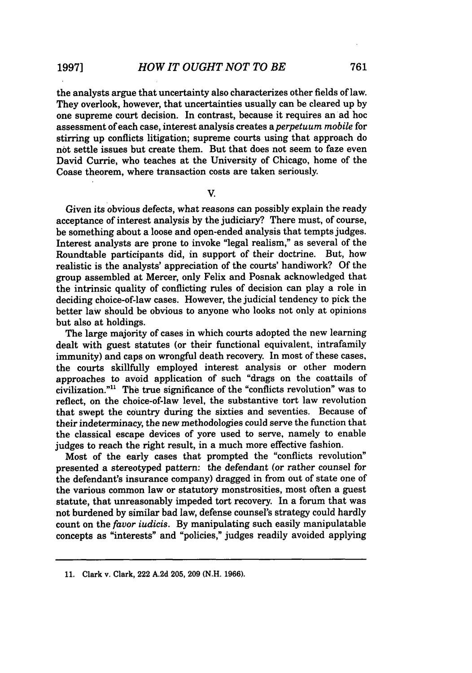the analysts argue that uncertainty also characterizes other fields of law. They overlook, however, that uncertainties usually can be cleared up by one supreme court decision. In contrast, because it requires an ad hoc assessment of each case, interest analysis creates *aperpetuum mobile* for stirring up conflicts litigation; supreme courts using that approach do not settle issues but create them. But that does not seem to faze even David Currie, who teaches at the University of Chicago, home of the Coase theorem, where transaction costs are taken seriously.

V.

Given its obvious defects, what reasons can possibly explain the ready acceptance of interest analysis by the judiciary? There must, of course, be something about a loose and open-ended analysis that tempts judges. Interest analysts are prone to invoke "legal realism," as several of the Roundtable participants did, in support of their doctrine. But, how realistic is the analysts' appreciation of the courts' handiwork? Of the group assembled at Mercer, only Felix and Posnak acknowledged that the intrinsic quality of conflicting rules of decision can play a role in deciding choice-of-law cases. However, the judicial tendency to pick the better law should be obvious to anyone who looks not only at opinions but also at holdings.

The large majority of cases in which courts adopted the new learning dealt with guest statutes (or their functional equivalent, intrafamily immunity) and caps on wrongful death recovery. In most of these cases, the courts skillfully employed interest analysis or other modern approaches to avoid application of such "drags on the coattails of civilization."" The true significance of the "conflicts revolution" was to reflect, on the choice-of-law level, the substantive tort law revolution that swept the country during the sixties and seventies. Because of their indeterminacy, the new methodologies could serve the function that the classical escape devices of yore used to serve, namely to enable judges to reach the right result, in a much more effective fashion.

Most of the early cases that prompted the "conflicts revolution" presented a stereotyped pattern: the defendant (or rather counsel for the defendant's insurance company) dragged in from out of state one of the various common law or statutory monstrosities, most often a guest statute, that unreasonably impeded tort recovery. In a forum that was not burdened by similar bad law, defense counsel's strategy could hardly count on the *favor iudicis.* By manipulating such easily manipulatable concepts as "interests" and "policies," judges readily avoided applying

**<sup>11.</sup>** Clark v. Clark, 222 **A.2d 205, 209 (N.H. 1966).**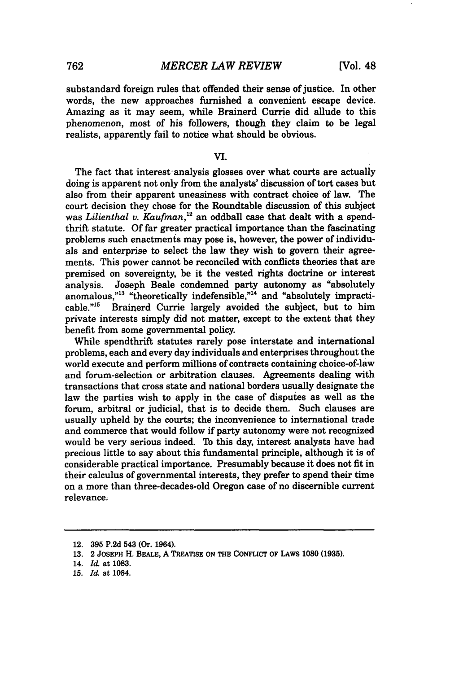substandard foreign rules that offended their sense of justice. In other words, the new approaches furnished a convenient escape device. Amazing as it may seem, while Brainerd Currie did allude to this phenomenon, most of his followers, though they claim to be legal realists, apparently fail to notice what should be obvious.

#### VI.

The fact that interest analysis glosses over what courts are actually doing is apparent not only from the analysts' discussion of tort cases but also from their apparent uneasiness with contract choice of law. The court decision they chose for the Roundtable discussion of this subject was *Lilienthal v. Kaufman,"2* an oddball case that dealt with a spendthrift statute. Of far greater practical importance than the fascinating problems such enactments may pose is, however, the power of individuals and enterprise to select the law they wish to govern their agreements. This power cannot be reconciled with conflicts theories that are premised on sovereignty, be it the vested rights doctrine or interest analysis. Joseph Beale condemned party autonomy as "absolutely anomalous,"<sup>13</sup> "theoretically indefensible,"<sup>14</sup> and "absolutely impracticable  $^{n15}$ . Brainerd Currie largely avoided the subject, but to him Brainerd Currie largely avoided the subject, but to him private interests simply did not matter, except to the extent that they benefit from some governmental policy.

While spendthrift statutes rarely pose interstate and international problems, each and every day individuals and enterprises throughout the world execute and perform millions of contracts containing choice-of-law and forum-selection or arbitration clauses. Agreements dealing with transactions that cross state and national borders usually designate the law the parties wish to apply in the case of disputes as well as the forum, arbitral or judicial, that is to decide them. Such clauses are usually upheld by the courts; the inconvenience to international trade and commerce that would follow if party autonomy were not recognized would be very serious indeed. To this day, interest analysts have had precious little to say about this fundamental principle, although it is of considerable practical importance. Presumably because it does not fit in their calculus of governmental interests, they prefer to spend their time on a more than three-decades-old Oregon case of no discernible current relevance.

<sup>12.</sup> **395** P.2d 543 (Or. 1964).

**<sup>13.</sup>** 2 JOSEPH H. BEALE, A TREATISE ON THE CONFLICT OF LAWS 1080 **(1935).**

<sup>14.</sup> *Id.* at **1083.**

**<sup>15.</sup>** *Id.* at 1084.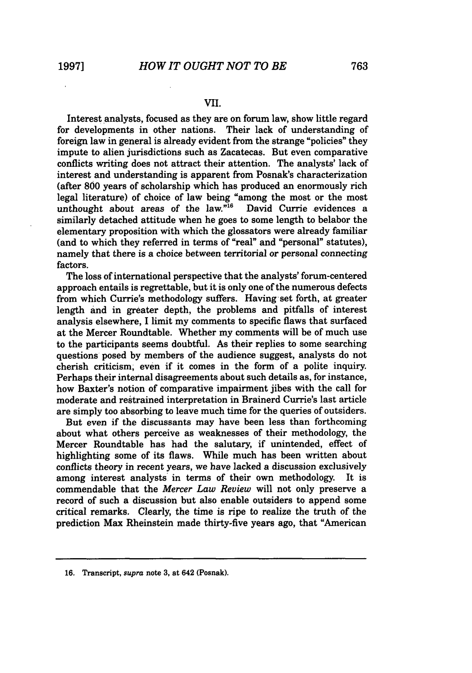### **VII.**

Interest analysts, focused as they are on forum law, show little regard for developments in other nations. Their lack of understanding of foreign law in general is already evident from the strange "policies" they impute to alien jurisdictions such as Zacatecas. But even comparative conflicts writing does not attract their attention. The analysts' lack of interest and understanding is apparent from Posnak's characterization (after **800** years of scholarship which has produced an enormously rich legal literature) of choice of law being "among the most or the most unthought about areas of the law."<sup>16</sup> David Currie evidences a unthought about areas of the law. $n^{16}$ similarly detached attitude when he goes to some length to belabor the elementary proposition with which the glossators were already familiar (and to which they referred in terms of "real" and "personal" statutes), namely that there is a choice between territorial or personal connecting factors.

The loss of international perspective that the analysts' forum-centered approach entails is regrettable, but it is only one of the numerous defects from which Currie's methodology suffers. Having set forth, at greater length and in greater depth, the problems and pitfalls of interest analysis elsewhere, **I** limit my comments to specific flaws that surfaced at the Mercer Roundtable. Whether my comments will be of much use to the participants seems doubtful. As their replies to some searching questions posed **by** members of the audience suggest, analysts do not cherish criticism, even if it comes in the form of a polite inquiry. Perhaps their internal disagreements about such details as, for instance, how Baxter's notion of comparative impairment jibes with the call for moderate and restrained interpretation in Brainerd Currie's last article are simply too absorbing to leave much time for the queries of outsiders.

But even if the discussants may have been less than forthcoming about what others perceive as weaknesses of their methodology, the Mercer Roundtable has had the salutary, if unintended, effect of highlighting some of its flaws. While much has been written about conflicts theory in recent years, we have lacked a discussion exclusively among interest analysts' in terms of their own methodology. It is commendable that the *Mercer Law Review* will not only preserve a record of such a discussion but also enable outsiders to append some critical remarks. Clearly, the time is ripe to realize the truth of the prediction Max Rheinstein made thirty-five years ago, that "American

**<sup>16.</sup>** Transcript, *supra* note **3,** at 642 (Posnak).